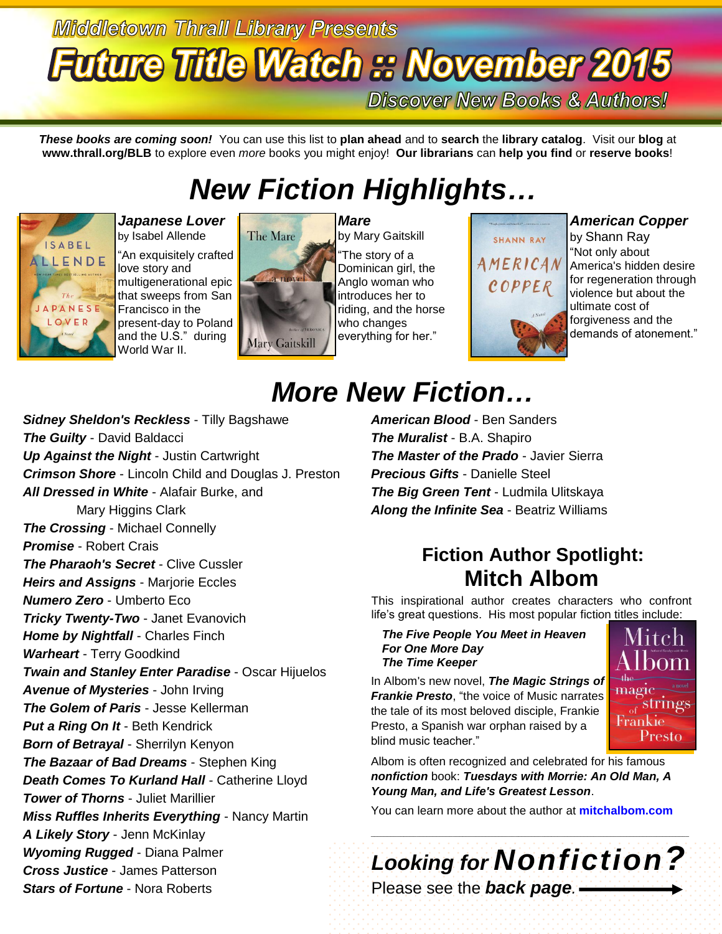# **Middletown Thrall Library Presents Future Title Watch :: November 2015**

**Discover New Books & Authors!** 

SHANN RAY

COPPER

*These books are coming soon!* You can use this list to **plan ahead** and to **search** the **library catalog**. Visit our **blog** at **www.thrall.org/BLB** to explore even *more* books you might enjoy! **Our librarians** can **help you find** or **reserve books**!

## *New Fiction Highlights…*



*Japanese Lover*  by Isabel Allende "An exquisitely crafted love story and multigenerational epic that sweeps from San Francisco in the present-day to Poland and the U.S." during World War II.



*Mare* by Mary Gaitskill "The story of a Dominican girl, the Anglo woman who introduces her to riding, and the horse who changes everything for her."

### *American Copper*

by Shann Ray "Not only about AMERICAN America's hidden desire for regeneration through violence but about the ultimate cost of forgiveness and the demands of atonement."

## *More New Fiction…*

*Sidney Sheldon's Reckless* - Tilly Bagshawe *The Guilty* - David Baldacci *Up Against the Night* - Justin Cartwright *Crimson Shore* - Lincoln Child and Douglas J. Preston *All Dressed in White* - Alafair Burke, and Mary Higgins Clark *The Crossing* - Michael Connelly *Promise* - Robert Crais *The Pharaoh's Secret* - Clive Cussler *Heirs and Assigns* - Marjorie Eccles *Numero Zero* - Umberto Eco *Tricky Twenty-Two* - Janet Evanovich *Home by Nightfall* - Charles Finch *Warheart* - Terry Goodkind *Twain and Stanley Enter Paradise* - Oscar Hijuelos *Avenue of Mysteries* - John Irving *The Golem of Paris* - Jesse Kellerman *Put a Ring On It* - Beth Kendrick *Born of Betrayal* - Sherrilyn Kenyon *The Bazaar of Bad Dreams* - Stephen King **Death Comes To Kurland Hall - Catherine Lloyd** *Tower of Thorns* - Juliet Marillier *Miss Ruffles Inherits Everything* - Nancy Martin *A Likely Story* - Jenn McKinlay *Wyoming Rugged* - Diana Palmer *Cross Justice* - James Patterson *Stars of Fortune* - Nora Roberts

*American Blood* - Ben Sanders *The Muralist* - B.A. Shapiro *The Master of the Prado* - Javier Sierra *Precious Gifts* - Danielle Steel *The Big Green Tent* - Ludmila Ulitskaya *Along the Infinite Sea* - Beatriz Williams

### **Fiction Author Spotlight: Mitch Albom**

This inspirational author creates characters who confront life's great questions. His most popular fiction titles include:

#### *The Five People You Meet in Heaven For One More Day The Time Keeper*

In Albom's new novel, *The Magic Strings of Frankie Presto*, "the voice of Music narrates the tale of its most beloved disciple, Frankie Presto, a Spanish war orphan raised by a blind music teacher."



Albom is often recognized and celebrated for his famous *nonfiction* book: *Tuesdays with Morrie: An Old Man, A Young Man, and Life's Greatest Lesson*.

You can learn more about the author at **[mitchalbom.com](http://www.mitchalbom.com/)**

# *Looking for Nonfiction?*

 $\_$  ,  $\_$  ,  $\_$  ,  $\_$  ,  $\_$  ,  $\_$  ,  $\_$  ,  $\_$  ,  $\_$  ,  $\_$  ,  $\_$  ,  $\_$  ,  $\_$  ,  $\_$  ,  $\_$  ,  $\_$  ,  $\_$  ,  $\_$  ,  $\_$  ,  $\_$  ,  $\_$  ,  $\_$  ,  $\_$  ,  $\_$  ,  $\_$  ,  $\_$  ,  $\_$  ,  $\_$  ,  $\_$  ,  $\_$  ,  $\_$  ,  $\_$  ,  $\_$  ,  $\_$  ,  $\_$  ,  $\_$  ,  $\_$  ,

Please see the *back page.*